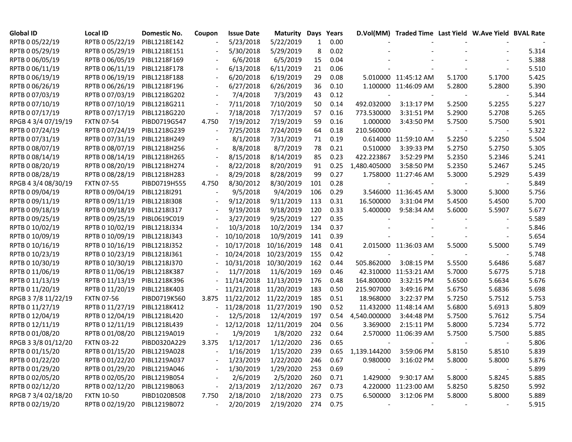| Global ID           | <b>Local ID</b>   | Domestic No. | Coupon | <b>Issue Date</b> | <b>Maturity Days</b>  |     | Years    |                              | D.Vol(MM) Traded Time Last Yield W.Ave Yield BVAL Rate |        |        |       |
|---------------------|-------------------|--------------|--------|-------------------|-----------------------|-----|----------|------------------------------|--------------------------------------------------------|--------|--------|-------|
| RPTB 0 05/22/19     | RPTB 0 05/22/19   | PIBL1218E142 |        | 5/23/2018         | 5/22/2019             | 1   | 0.00     |                              |                                                        |        |        |       |
| RPTB 0 05/29/19     | RPTB 0 05/29/19   | PIBL1218E151 |        | 5/30/2018         | 5/29/2019             | 8   | 0.02     |                              |                                                        |        |        | 5.314 |
| RPTB 0 06/05/19     | RPTB 0 06/05/19   | PIBL1218F169 |        | 6/6/2018          | 6/5/2019              | 15  | 0.04     |                              |                                                        |        |        | 5.388 |
| RPTB 0 06/11/19     | RPTB 0 06/11/19   | PIBL1218F178 |        | 6/13/2018         | 6/11/2019             | 21  | 0.06     |                              |                                                        |        |        | 5.510 |
| RPTB 0 06/19/19     | RPTB 0 06/19/19   | PIBL1218F188 |        | 6/20/2018         | 6/19/2019             | 29  | 0.08     |                              | 5.010000 11:45:12 AM                                   | 5.1700 | 5.1700 | 5.425 |
| RPTB 0 06/26/19     | RPTB 0 06/26/19   | PIBL1218F196 |        | 6/27/2018         | 6/26/2019             | 36  | 0.10     |                              | 1.100000 11:46:09 AM                                   | 5.2800 | 5.2800 | 5.390 |
| RPTB 0 07/03/19     | RPTB 0 07/03/19   | PIBL1218G202 |        | 7/4/2018          | 7/3/2019              | 43  | 0.12     |                              |                                                        |        |        | 5.344 |
| RPTB 0 07/10/19     | RPTB 0 07/10/19   | PIBL1218G211 |        | 7/11/2018         | 7/10/2019             | 50  | 0.14     | 492.032000                   | 3:13:17 PM                                             | 5.2500 | 5.2255 | 5.227 |
| RPTB 0 07/17/19     | RPTB 0 07/17/19   | PIBL1218G220 |        | 7/18/2018         | 7/17/2019             | 57  | 0.16     | 773.530000                   | 3:31:51 PM                                             | 5.2900 | 5.2708 | 5.265 |
| RPGB 4 3/4 07/19/19 | <b>FXTN 07-54</b> | PIBD0719G547 | 4.750  | 7/19/2012         | 7/19/2019             | 59  | 0.16     | 1.000000                     | 3:43:50 PM                                             | 5.7500 | 5.7500 | 5.901 |
| RPTB 0 07/24/19     | RPTB 0 07/24/19   | PIBL1218G239 |        | 7/25/2018         | 7/24/2019             | 64  | 0.18     | 210.560000                   |                                                        |        |        | 5.322 |
| RPTB 0 07/31/19     | RPTB 0 07/31/19   | PIBL1218H249 |        | 8/1/2018          | 7/31/2019             | 71  | 0.19     |                              | 0.614000 11:59:10 AM                                   | 5.2250 | 5.2250 | 5.504 |
| RPTB 0 08/07/19     | RPTB 0 08/07/19   | PIBL1218H256 |        | 8/8/2018          | 8/7/2019              | 78  | 0.21     | 0.510000                     | 3:39:33 PM                                             | 5.2750 | 5.2750 | 5.305 |
| RPTB 0 08/14/19     | RPTB 0 08/14/19   | PIBL1218H265 |        | 8/15/2018         | 8/14/2019             | 85  | 0.23     | 422.223867                   | 3:52:29 PM                                             | 5.2350 | 5.2346 | 5.241 |
| RPTB 0 08/20/19     | RPTB 0 08/20/19   | PIBL1218H274 |        | 8/22/2018         | 8/20/2019             | 91  | 0.25     | 1,480.405000                 | 3:58:50 PM                                             | 5.2350 | 5.2467 | 5.245 |
| RPTB 0 08/28/19     | RPTB 0 08/28/19   | PIBL1218H283 |        | 8/29/2018         | 8/28/2019             | 99  | 0.27     |                              | 1.758000 11:27:46 AM                                   | 5.3000 | 5.2929 | 5.439 |
| RPGB 4 3/4 08/30/19 | <b>FXTN 07-55</b> | PIBD0719H555 | 4.750  | 8/30/2012         | 8/30/2019             | 101 | 0.28     |                              |                                                        |        |        | 5.849 |
| RPTB 0 09/04/19     | RPTB 0 09/04/19   | PIBL1218I291 |        | 9/5/2018          | 9/4/2019              | 106 | 0.29     |                              | 3.546000 11:36:45 AM                                   | 5.3000 | 5.3000 | 5.756 |
| RPTB 0 09/11/19     | RPTB 0 09/11/19   | PIBL1218I308 |        | 9/12/2018         | 9/11/2019             | 113 | 0.31     | 16.500000                    | 3:31:04 PM                                             | 5.4500 | 5.4500 | 5.700 |
| RPTB 0 09/18/19     | RPTB 0 09/18/19   | PIBL1218I317 |        | 9/19/2018         | 9/18/2019             | 120 | 0.33     | 5.400000                     | 9:58:34 AM                                             | 5.6000 | 5.5907 | 5.677 |
| RPTB 0 09/25/19     | RPTB 0 09/25/19   | PIBL0619C019 |        | 3/27/2019         | 9/25/2019             | 127 | 0.35     |                              |                                                        |        |        | 5.589 |
| RPTB 0 10/02/19     | RPTB 0 10/02/19   | PIBL1218J334 |        | 10/3/2018         | 10/2/2019             | 134 | 0.37     |                              |                                                        |        |        | 5.846 |
| RPTB 0 10/09/19     | RPTB 0 10/09/19   | PIBL1218J343 |        | 10/10/2018        | 10/9/2019             | 141 | 0.39     |                              |                                                        |        |        | 5.654 |
| RPTB 0 10/16/19     | RPTB 0 10/16/19   | PIBL1218J352 |        | 10/17/2018        | 10/16/2019            | 148 | 0.41     |                              | 2.015000 11:36:03 AM                                   | 5.5000 | 5.5000 | 5.749 |
| RPTB 0 10/23/19     | RPTB 0 10/23/19   | PIBL1218J361 |        | 10/24/2018        | 10/23/2019            | 155 | 0.42     |                              |                                                        |        |        | 5.748 |
| RPTB 0 10/30/19     | RPTB 0 10/30/19   | PIBL1218J370 |        | 10/31/2018        | 10/30/2019            | 162 | 0.44     | 505.862000                   | 3:08:15 PM                                             | 5.5500 | 5.6486 | 5.687 |
| RPTB 0 11/06/19     | RPTB 0 11/06/19   | PIBL1218K387 |        | 11/7/2018         | 11/6/2019             | 169 | 0.46     |                              | 42.310000 11:53:21 AM                                  | 5.7000 | 5.6775 | 5.718 |
| RPTB 0 11/13/19     | RPTB 0 11/13/19   | PIBL1218K396 |        | 11/14/2018        | 11/13/2019            | 176 | 0.48     | 164.800000                   | 3:32:15 PM                                             | 5.6500 | 5.6634 | 5.676 |
| RPTB 0 11/20/19     | RPTB 0 11/20/19   | PIBL1218K403 |        | 11/21/2018        | 11/20/2019            | 183 | 0.50     | 215.907000                   | 3:49:16 PM                                             | 5.6750 | 5.6836 | 5.698 |
| RPGB 37/8 11/22/19  | <b>FXTN 07-56</b> | PIBD0719K560 | 3.875  |                   | 11/22/2012 11/22/2019 | 185 | 0.51     | 18.968000                    | 3:22:37 PM                                             | 5.7250 | 5.7512 | 5.753 |
| RPTB 0 11/27/19     | RPTB 0 11/27/19   | PIBL1218K412 |        | 11/28/2018        | 11/27/2019            | 190 | 0.52     |                              | 11.432000 11:48:14 AM                                  | 5.6800 | 5.6913 | 5.809 |
| RPTB 0 12/04/19     | RPTB 0 12/04/19   | PIBL1218L420 |        | 12/5/2018         | 12/4/2019             | 197 | 0.54     | 4,540.000000                 | 3:44:48 PM                                             | 5.7500 | 5.7612 | 5.754 |
| RPTB 0 12/11/19     | RPTB 0 12/11/19   | PIBL1218L439 |        | 12/12/2018        | 12/11/2019            | 204 | 0.56     | 3.369000                     | 2:15:11 PM                                             | 5.8000 | 5.7234 | 5.772 |
| RPTB 0 01/08/20     | RPTB 0 01/08/20   | PIBL1219A019 |        | 1/9/2019          | 1/8/2020              | 232 | 0.64     |                              | 2.570000 11:06:39 AM                                   | 5.7500 | 5.7500 | 5.885 |
| RPGB 3 3/8 01/12/20 | <b>FXTN 03-22</b> | PIBD0320A229 | 3.375  | 1/12/2017         | 1/12/2020             | 236 | 0.65     |                              |                                                        |        |        | 5.806 |
| RPTB 0 01/15/20     | RPTB 0 01/15/20   | PIBL1219A028 |        | $-1/16/2019$      | 1/15/2020             | 239 |          | 0.65 1,139.144200 3:59:06 PM |                                                        | 5.8150 | 5.8510 | 5.839 |
| RPTB 0 01/22/20     | RPTB 0 01/22/20   | PIBL1219A037 |        | 1/23/2019         | 1/22/2020             | 246 | 0.67     | 0.980000                     | 3:16:02 PM                                             | 5.8000 | 5.8000 | 5.876 |
| RPTB 0 01/29/20     | RPTB 0 01/29/20   | PIBL1219A046 |        | 1/30/2019         | 1/29/2020             | 253 | 0.69     |                              |                                                        |        |        | 5.899 |
| RPTB 0 02/05/20     | RPTB 0 02/05/20   | PIBL1219B054 |        | 2/6/2019          | 2/5/2020              | 260 | 0.71     | 1.429000                     | 9:30:17 AM                                             | 5.8000 | 5.8245 | 5.885 |
| RPTB 0 02/12/20     | RPTB 0 02/12/20   | PIBL1219B063 |        | 2/13/2019         | 2/12/2020             | 267 | 0.73     |                              | 4.220000 11:23:00 AM                                   | 5.8250 | 5.8250 | 5.992 |
| RPGB 7 3/4 02/18/20 | <b>FXTN 10-50</b> | PIBD1020B508 | 7.750  | 2/18/2010         | 2/18/2020             | 273 | 0.75     | 6.500000                     | 3:12:06 PM                                             | 5.8000 | 5.8000 | 5.889 |
| RPTB 0 02/19/20     | RPTB 0 02/19/20   | PIBL1219B072 |        | 2/20/2019         | 2/19/2020             |     | 274 0.75 |                              |                                                        |        |        | 5.915 |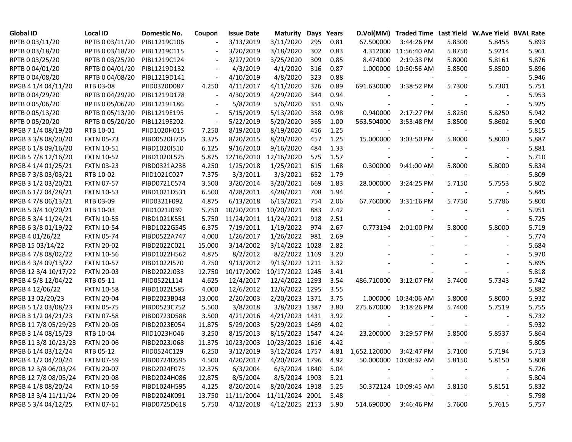| <b>Global ID</b>     | <b>Local ID</b>   | Domestic No. | Coupon | <b>Issue Date</b> | <b>Maturity</b>     |     | Days Years |                    | D.Vol(MM) Traded Time Last Yield W.Ave Yield BVAL Rate |        |                          |       |
|----------------------|-------------------|--------------|--------|-------------------|---------------------|-----|------------|--------------------|--------------------------------------------------------|--------|--------------------------|-------|
| RPTB 0 03/11/20      | RPTB 0 03/11/20   | PIBL1219C106 |        | 3/13/2019         | 3/11/2020           | 295 | 0.81       | 67.500000          | 3:44:26 PM                                             | 5.8300 | 5.8455                   | 5.893 |
| RPTB 0 03/18/20      | RPTB 0 03/18/20   | PIBL1219C115 |        | 3/20/2019         | 3/18/2020           | 302 | 0.83       |                    | 4.312000 11:56:40 AM                                   | 5.8750 | 5.9214                   | 5.961 |
| RPTB 0 03/25/20      | RPTB 0 03/25/20   | PIBL1219C124 |        | 3/27/2019         | 3/25/2020           | 309 | 0.85       | 8.474000           | 2:19:33 PM                                             | 5.8000 | 5.8161                   | 5.876 |
| RPTB 0 04/01/20      | RPTB 0 04/01/20   | PIBL1219D132 |        | 4/3/2019          | 4/1/2020            | 316 | 0.87       |                    | 1.000000 10:50:56 AM                                   | 5.8500 | 5.8500                   | 5.896 |
| RPTB 0 04/08/20      | RPTB 0 04/08/20   | PIBL1219D141 |        | 4/10/2019         | 4/8/2020            | 323 | 0.88       |                    |                                                        |        |                          | 5.946 |
| RPGB 4 1/4 04/11/20  | RTB 03-08         | PIID0320D087 | 4.250  | 4/11/2017         | 4/11/2020           | 326 | 0.89       | 691.630000         | 3:38:52 PM                                             | 5.7300 | 5.7301                   | 5.751 |
| RPTB 0 04/29/20      | RPTB 0 04/29/20   | PIBL1219D178 |        | 4/30/2019         | 4/29/2020           | 344 | 0.94       |                    |                                                        |        |                          | 5.953 |
| RPTB 0 05/06/20      | RPTB 0 05/06/20   | PIBL1219E186 |        | 5/8/2019          | 5/6/2020            | 351 | 0.96       |                    |                                                        |        |                          | 5.925 |
| RPTB 0 05/13/20      | RPTB 0 05/13/20   | PIBL1219E195 |        | 5/15/2019         | 5/13/2020           | 358 | 0.98       | 0.940000           | 2:17:27 PM                                             | 5.8250 | 5.8250                   | 5.942 |
| RPTB 0 05/20/20      | RPTB 0 05/20/20   | PIBL1219E202 |        | 5/22/2019         | 5/20/2020           | 365 | 1.00       | 563.504000         | 3:53:48 PM                                             | 5.8500 | 5.8602                   | 5.900 |
| RPGB 7 1/4 08/19/20  | RTB 10-01         | PIID1020H015 | 7.250  | 8/19/2010         | 8/19/2020           | 456 | 1.25       |                    |                                                        |        |                          | 5.815 |
| RPGB 3 3/8 08/20/20  | <b>FXTN 05-73</b> | PIBD0520H735 | 3.375  | 8/20/2015         | 8/20/2020           | 457 | 1.25       | 15.000000          | 3:03:50 PM                                             | 5.8000 | 5.8000                   | 5.887 |
| RPGB 6 1/8 09/16/20  | <b>FXTN 10-51</b> | PIBD1020I510 | 6.125  | 9/16/2010         | 9/16/2020           | 484 | 1.33       |                    |                                                        |        | $\blacksquare$           | 5.881 |
| RPGB 5 7/8 12/16/20  | <b>FXTN 10-52</b> | PIBD1020L525 | 5.875  | 12/16/2010        | 12/16/2020          | 575 | 1.57       |                    |                                                        |        |                          | 5.710 |
| RPGB 4 1/4 01/25/21  | <b>FXTN 03-23</b> | PIBD0321A236 | 4.250  | 1/25/2018         | 1/25/2021           | 615 | 1.68       | 0.300000           | 9:41:00 AM                                             | 5.8000 | 5.8000                   | 5.834 |
| RPGB 7 3/8 03/03/21  | RTB 10-02         | PIID1021C027 | 7.375  | 3/3/2011          | 3/3/2021            | 652 | 1.79       |                    |                                                        |        |                          | 5.809 |
| RPGB 3 1/2 03/20/21  | <b>FXTN 07-57</b> | PIBD0721C574 | 3.500  | 3/20/2014         | 3/20/2021           | 669 | 1.83       | 28.000000          | 3:24:25 PM                                             | 5.7150 | 5.7553                   | 5.802 |
| RPGB 6 1/2 04/28/21  | <b>FXTN 10-53</b> | PIBD1021D531 | 6.500  | 4/28/2011         | 4/28/2021           | 708 | 1.94       |                    |                                                        |        |                          | 5.845 |
| RPGB 4 7/8 06/13/21  | RTB 03-09         | PIID0321F092 | 4.875  | 6/13/2018         | 6/13/2021           | 754 | 2.06       | 67.760000          | 3:31:16 PM                                             | 5.7750 | 5.7786                   | 5.800 |
| RPGB 5 3/4 10/20/21  | RTB 10-03         | PIID1021J039 | 5.750  | 10/20/2011        | 10/20/2021          | 883 | 2.42       |                    |                                                        |        |                          | 5.951 |
| RPGB 5 3/4 11/24/21  | <b>FXTN 10-55</b> | PIBD1021K551 | 5.750  | 11/24/2011        | 11/24/2021          | 918 | 2.51       |                    |                                                        |        |                          | 5.725 |
| RPGB 63/8 01/19/22   | <b>FXTN 10-54</b> | PIBD1022G545 | 6.375  | 7/19/2011         | 1/19/2022           | 974 | 2.67       | 0.773194           | 2:01:00 PM                                             | 5.8000 | 5.8000                   | 5.719 |
| RPGB 4 01/26/22      | <b>FXTN 05-74</b> | PIBD0522A747 | 4.000  | 1/26/2017         | 1/26/2022           | 981 | 2.69       |                    |                                                        |        |                          | 5.774 |
| RPGB 15 03/14/22     | <b>FXTN 20-02</b> | PIBD2022C021 | 15.000 | 3/14/2002         | 3/14/2022 1028      |     | 2.82       |                    |                                                        |        |                          | 5.684 |
| RPGB 4 7/8 08/02/22  | <b>FXTN 10-56</b> | PIBD1022H562 | 4.875  | 8/2/2012          | 8/2/2022 1169       |     | 3.20       |                    |                                                        |        |                          | 5.970 |
| RPGB 4 3/4 09/13/22  | <b>FXTN 10-57</b> | PIBD1022I570 | 4.750  | 9/13/2012         | 9/13/2022 1211      |     | 3.32       |                    |                                                        |        |                          | 5.895 |
| RPGB 12 3/4 10/17/22 | <b>FXTN 20-03</b> | PIBD2022J033 | 12.750 | 10/17/2002        | 10/17/2022 1245     |     | 3.41       |                    |                                                        |        |                          | 5.818 |
| RPGB 4 5/8 12/04/22  | RTB 05-11         | PIID0522L114 | 4.625  | 12/4/2017         | 12/4/2022 1293      |     | 3.54       | 486.710000         | 3:12:07 PM                                             | 5.7400 | 5.7343                   | 5.742 |
| RPGB 4 12/06/22      | <b>FXTN 10-58</b> | PIBD1022L585 | 4.000  | 12/6/2012         | 12/6/2022 1295      |     | 3.55       |                    |                                                        |        |                          | 5.882 |
| RPGB 13 02/20/23     | <b>FXTN 20-04</b> | PIBD2023B048 | 13.000 | 2/20/2003         | 2/20/2023 1371      |     | 3.75       |                    | 1.000000 10:34:06 AM                                   | 5.8000 | 5.8000                   | 5.932 |
| RPGB 5 1/2 03/08/23  | <b>FXTN 05-75</b> | PIBD0523C752 | 5.500  | 3/8/2018          | 3/8/2023 1387       |     | 3.80       | 275.670000         | 3:18:26 PM                                             | 5.7400 | 5.7519                   | 5.755 |
| RPGB 3 1/2 04/21/23  | <b>FXTN 07-58</b> | PIBD0723D588 | 3.500  | 4/21/2016         | 4/21/2023 1431      |     | 3.92       |                    |                                                        |        |                          | 5.732 |
| RPGB 11 7/8 05/29/23 | <b>FXTN 20-05</b> | PIBD2023E054 | 11.875 | 5/29/2003         | 5/29/2023 1469      |     | 4.02       |                    |                                                        |        |                          | 5.932 |
| RPGB 3 1/4 08/15/23  | RTB 10-04         | PIID1023H046 | 3.250  | 8/15/2013         | 8/15/2023 1547      |     | 4.24       | 23.200000          | 3:29:57 PM                                             | 5.8500 | 5.8537                   | 5.864 |
| RPGB 11 3/8 10/23/23 | <b>FXTN 20-06</b> | PIBD2023J068 | 11.375 | 10/23/2003        | 10/23/2023 1616     |     | 4.42       |                    |                                                        |        |                          | 5.805 |
| RPGB 6 1/4 03/12/24  | RTB 05-12         | PIID0524C129 | 6.250  | 3/12/2019         | 3/12/2024 1757      |     |            | 4.81  1,652.120000 | 3:42:47 PM                                             | 5.7100 | 5.7194                   | 5.713 |
| RPGB 4 1/2 04/20/24  | <b>FXTN 07-59</b> | PIBD0724D595 | 4.500  | 4/20/2017         | 4/20/2024 1796      |     | 4.92       |                    | 50.000000 10:08:32 AM                                  | 5.8150 | 5.8150                   | 5.808 |
| RPGB 12 3/8 06/03/24 | <b>FXTN 20-07</b> | PIBD2024F075 | 12.375 | 6/3/2004          | 6/3/2024 1840       |     | 5.04       |                    |                                                        |        |                          | 5.726 |
| RPGB 12 7/8 08/05/24 | <b>FXTN 20-08</b> | PIBD2024H086 | 12.875 | 8/5/2004          | 8/5/2024 1903       |     | 5.21       |                    |                                                        |        | $\overline{\phantom{a}}$ | 5.804 |
| RPGB 4 1/8 08/20/24  | <b>FXTN 10-59</b> | PIBD1024H595 | 4.125  | 8/20/2014         | 8/20/2024 1918      |     | 5.25       |                    | 50.372124 10:09:45 AM                                  | 5.8150 | 5.8151                   | 5.832 |
| RPGB 13 3/4 11/11/24 | <b>FXTN 20-09</b> | PIBD2024K091 | 13.750 | 11/11/2004        | 11/11/2024 2001     |     | 5.48       | $\sim$             |                                                        |        |                          | 5.798 |
| RPGB 5 3/4 04/12/25  | <b>FXTN 07-61</b> | PIBD0725D618 | 5.750  | 4/12/2018         | 4/12/2025 2153 5.90 |     |            |                    | 514.690000 3:46:46 PM                                  | 5.7600 | 5.7615                   | 5.757 |
|                      |                   |              |        |                   |                     |     |            |                    |                                                        |        |                          |       |